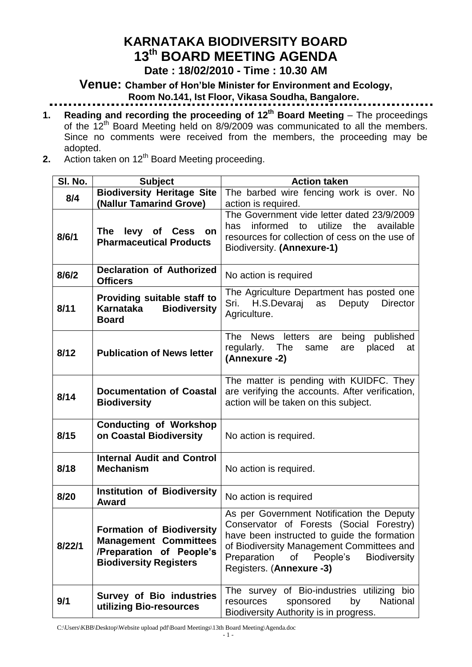# **KARNATAKA BIODIVERSITY BOARD 13 th BOARD MEETING AGENDA**

#### **Date : 18/02/2010 - Time : 10.30 AM**

**Venue: Chamber of Hon'ble Minister for Environment and Ecology, Room No.141, Ist Floor, Vikasa Soudha, Bangalore.**

- **1. Reading and recording the proceeding of 12<sup>th</sup> Board Meeting** The proceedings of the 12th Board Meeting held on 8/9/2009 was communicated to all the members. Since no comments were received from the members, the proceeding may be adopted.
- **2.** Action taken on 12<sup>th</sup> Board Meeting proceeding.

| SI. No. | <b>Subject</b>                                                                                                                | <b>Action taken</b>                                                                                                                                                                                                                                                   |
|---------|-------------------------------------------------------------------------------------------------------------------------------|-----------------------------------------------------------------------------------------------------------------------------------------------------------------------------------------------------------------------------------------------------------------------|
| 8/4     | <b>Biodiversity Heritage Site</b>                                                                                             | The barbed wire fencing work is over. No                                                                                                                                                                                                                              |
|         | (Nallur Tamarind Grove)                                                                                                       | action is required.                                                                                                                                                                                                                                                   |
| 8/6/1   | levy of Cess on<br>The<br><b>Pharmaceutical Products</b>                                                                      | The Government vide letter dated 23/9/2009<br>utilize<br>informed<br>to<br>the<br>available<br>has<br>resources for collection of cess on the use of<br>Biodiversity. (Annexure-1)                                                                                    |
| 8/6/2   | <b>Declaration of Authorized</b><br><b>Officers</b>                                                                           | No action is required                                                                                                                                                                                                                                                 |
| 8/11    | Providing suitable staff to<br><b>Biodiversity</b><br>Karnataka<br><b>Board</b>                                               | The Agriculture Department has posted one<br>H.S.Devaraj<br>as<br>Deputy<br><b>Director</b><br>Sri.<br>Agriculture.                                                                                                                                                   |
| 8/12    | <b>Publication of News letter</b>                                                                                             | The<br>News letters are<br>being published<br>regularly. The<br>placed<br>same<br>are<br>at<br>(Annexure -2)                                                                                                                                                          |
| 8/14    | <b>Documentation of Coastal</b><br><b>Biodiversity</b>                                                                        | The matter is pending with KUIDFC. They<br>are verifying the accounts. After verification,<br>action will be taken on this subject.                                                                                                                                   |
| 8/15    | <b>Conducting of Workshop</b><br>on Coastal Biodiversity                                                                      | No action is required.                                                                                                                                                                                                                                                |
| 8/18    | <b>Internal Audit and Control</b><br><b>Mechanism</b>                                                                         | No action is required.                                                                                                                                                                                                                                                |
| 8/20    | <b>Institution of Biodiversity</b><br><b>Award</b>                                                                            | No action is required                                                                                                                                                                                                                                                 |
| 8/22/1  | <b>Formation of Biodiversity</b><br><b>Management Committees</b><br>/Preparation of People's<br><b>Biodiversity Registers</b> | As per Government Notification the Deputy<br>Conservator of Forests (Social Forestry)<br>have been instructed to guide the formation<br>of Biodiversity Management Committees and<br>Preparation<br>People's<br><b>Biodiversity</b><br>of<br>Registers. (Annexure -3) |
| 9/1     | <b>Survey of Bio industries</b><br>utilizing Bio-resources                                                                    | The survey of Bio-industries utilizing bio<br>sponsored<br>National<br>resources<br>by<br>Biodiversity Authority is in progress.                                                                                                                                      |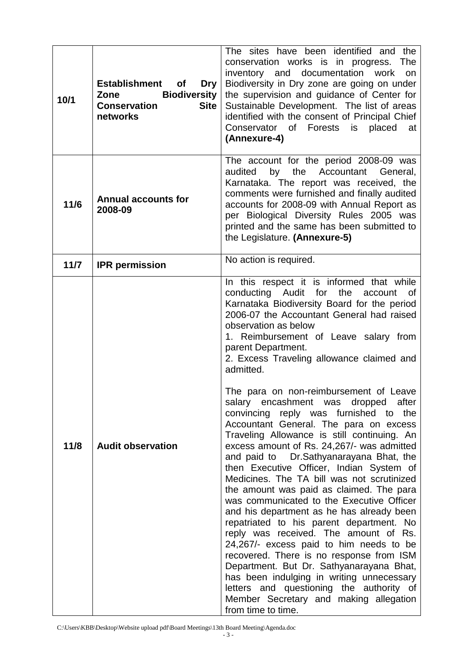| 10/1 | <b>Establishment</b><br><b>of</b><br>Dry<br><b>Biodiversity</b><br><b>Zone</b><br><b>Site</b><br><b>Conservation</b><br>networks | The sites have been identified and the<br>conservation works is in progress. The<br>documentation<br>inventory and<br>work<br>on<br>Biodiversity in Dry zone are going on under<br>the supervision and guidance of Center for<br>Sustainable Development. The list of areas<br>identified with the consent of Principal Chief<br>Forests<br>Conservator of<br>is<br>placed<br>at<br>(Annexure-4)                                                                                                                                                                                                                                                                                                                                                                                                                                                                                                                                                                                                                                                                                                                                                                                                                                                                       |
|------|----------------------------------------------------------------------------------------------------------------------------------|------------------------------------------------------------------------------------------------------------------------------------------------------------------------------------------------------------------------------------------------------------------------------------------------------------------------------------------------------------------------------------------------------------------------------------------------------------------------------------------------------------------------------------------------------------------------------------------------------------------------------------------------------------------------------------------------------------------------------------------------------------------------------------------------------------------------------------------------------------------------------------------------------------------------------------------------------------------------------------------------------------------------------------------------------------------------------------------------------------------------------------------------------------------------------------------------------------------------------------------------------------------------|
| 11/6 | <b>Annual accounts for</b><br>2008-09                                                                                            | The account for the period 2008-09 was<br>by<br>the Accountant General,<br>audited<br>Karnataka. The report was received, the<br>comments were furnished and finally audited<br>accounts for 2008-09 with Annual Report as<br>per Biological Diversity Rules 2005 was<br>printed and the same has been submitted to<br>the Legislature. (Annexure-5)                                                                                                                                                                                                                                                                                                                                                                                                                                                                                                                                                                                                                                                                                                                                                                                                                                                                                                                   |
| 11/7 | <b>IPR</b> permission                                                                                                            | No action is required.                                                                                                                                                                                                                                                                                                                                                                                                                                                                                                                                                                                                                                                                                                                                                                                                                                                                                                                                                                                                                                                                                                                                                                                                                                                 |
| 11/8 | <b>Audit observation</b>                                                                                                         | In this respect it is informed that while<br>conducting Audit for<br>the<br>account<br>0f<br>Karnataka Biodiversity Board for the period<br>2006-07 the Accountant General had raised<br>observation as below<br>1. Reimbursement of Leave salary from<br>parent Department.<br>2. Excess Traveling allowance claimed and<br>admitted.<br>The para on non-reimbursement of Leave<br>salary encashment was dropped<br>after<br>convincing reply was furnished to the<br>Accountant General. The para on excess<br>Traveling Allowance is still continuing. An<br>excess amount of Rs. 24,267/- was admitted<br>and paid to Dr.Sathyanarayana Bhat, the<br>then Executive Officer, Indian System of<br>Medicines. The TA bill was not scrutinized<br>the amount was paid as claimed. The para<br>was communicated to the Executive Officer<br>and his department as he has already been<br>repatriated to his parent department. No<br>reply was received. The amount of Rs.<br>24,267/- excess paid to him needs to be<br>recovered. There is no response from ISM<br>Department. But Dr. Sathyanarayana Bhat,<br>has been indulging in writing unnecessary<br>letters and questioning the authority of<br>Member Secretary and making allegation<br>from time to time. |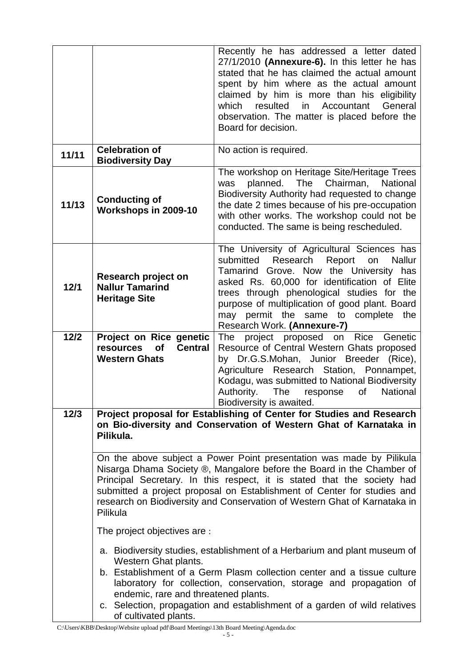|        |                                                                                                                                                                                                                                                                                                                                                                                                   | Recently he has addressed a letter dated<br>27/1/2010 (Annexure-6). In this letter he has<br>stated that he has claimed the actual amount<br>spent by him where as the actual amount<br>claimed by him is more than his eligibility<br>which<br>resulted<br>in<br>Accountant<br>General<br>observation. The matter is placed before the<br>Board for decision.           |  |  |  |
|--------|---------------------------------------------------------------------------------------------------------------------------------------------------------------------------------------------------------------------------------------------------------------------------------------------------------------------------------------------------------------------------------------------------|--------------------------------------------------------------------------------------------------------------------------------------------------------------------------------------------------------------------------------------------------------------------------------------------------------------------------------------------------------------------------|--|--|--|
| 11/11  | <b>Celebration of</b><br><b>Biodiversity Day</b>                                                                                                                                                                                                                                                                                                                                                  | No action is required.                                                                                                                                                                                                                                                                                                                                                   |  |  |  |
| 11/13  | <b>Conducting of</b><br>Workshops in 2009-10                                                                                                                                                                                                                                                                                                                                                      | The workshop on Heritage Site/Heritage Trees<br>planned.<br>The Chairman,<br><b>National</b><br>was<br>Biodiversity Authority had requested to change<br>the date 2 times because of his pre-occupation<br>with other works. The workshop could not be<br>conducted. The same is being rescheduled.                                                                      |  |  |  |
| 12/1   | Research project on<br><b>Nallur Tamarind</b><br><b>Heritage Site</b>                                                                                                                                                                                                                                                                                                                             | The University of Agricultural Sciences has<br>Report<br>submitted<br>Research<br><b>Nallur</b><br>on<br>Tamarind Grove. Now the University has<br>asked Rs. 60,000 for identification of Elite<br>trees through phenological studies for the<br>purpose of multiplication of good plant. Board<br>permit the same to complete the<br>may<br>Research Work. (Annexure-7) |  |  |  |
| $12/2$ | Project on Rice genetic<br><b>of</b><br><b>Central</b><br>resources<br><b>Western Ghats</b>                                                                                                                                                                                                                                                                                                       | project proposed on Rice Genetic<br>The<br>Resource of Central Western Ghats proposed<br>by Dr.G.S.Mohan, Junior Breeder (Rice),<br>Agriculture Research Station, Ponnampet,<br>Kodagu, was submitted to National Biodiversity<br>Authority.<br>of<br>National<br>The<br>response<br>Biodiversity is awaited.                                                            |  |  |  |
| $12/3$ | Project proposal for Establishing of Center for Studies and Research<br>on Bio-diversity and Conservation of Western Ghat of Karnataka in<br>Pilikula.                                                                                                                                                                                                                                            |                                                                                                                                                                                                                                                                                                                                                                          |  |  |  |
|        | On the above subject a Power Point presentation was made by Pilikula<br>Nisarga Dhama Society ®, Mangalore before the Board in the Chamber of<br>Principal Secretary. In this respect, it is stated that the society had<br>submitted a project proposal on Establishment of Center for studies and<br>research on Biodiversity and Conservation of Western Ghat of Karnataka in<br>Pilikula      |                                                                                                                                                                                                                                                                                                                                                                          |  |  |  |
|        | The project objectives are :                                                                                                                                                                                                                                                                                                                                                                      |                                                                                                                                                                                                                                                                                                                                                                          |  |  |  |
|        | a. Biodiversity studies, establishment of a Herbarium and plant museum of<br>Western Ghat plants.<br>b. Establishment of a Germ Plasm collection center and a tissue culture<br>laboratory for collection, conservation, storage and propagation of<br>endemic, rare and threatened plants.<br>c. Selection, propagation and establishment of a garden of wild relatives<br>of cultivated plants. |                                                                                                                                                                                                                                                                                                                                                                          |  |  |  |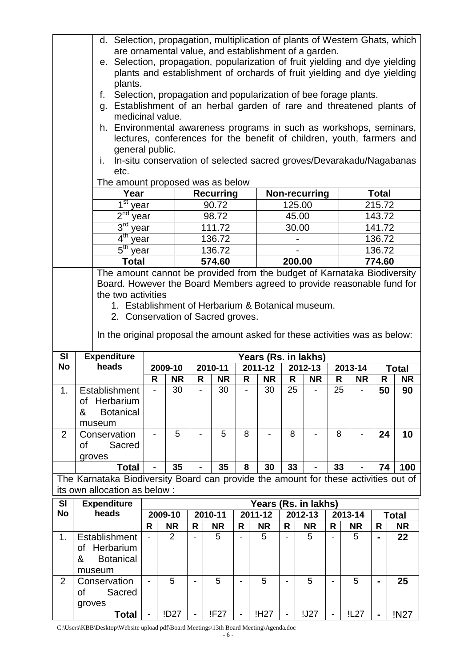|                        |                                                                                                                                                                                                                                                                                                                                                                                                 | d. Selection, propagation, multiplication of plants of Western Ghats, which<br>are ornamental value, and establishment of a garden.<br>e. Selection, propagation, popularization of fruit yielding and dye yielding<br>plants and establishment of orchards of fruit yielding and dye yielding<br>plants.<br>Selection, propagation and popularization of bee forage plants.<br>f.<br>Establishment of an herbal garden of rare and threatened plants of<br>g.<br>medicinal value.<br>h. Environmental awareness programs in such as workshops, seminars,<br>lectures, conferences for the benefit of children, youth, farmers and<br>general public.<br>In-situ conservation of selected sacred groves/Devarakadu/Nagabanas<br>i.<br>etc.<br>The amount proposed was as below<br>Year<br><b>Recurring</b><br>Non-recurring<br><b>Total</b><br>1 <sup>st</sup><br>215.72<br>90.72<br>125.00<br>year<br>2 <sup>nd</sup><br>98.72<br>143.72<br>45.00<br>year<br>3 <sup>rd</sup><br>111.72<br>30.00<br>141.72<br>year<br>4 <sup>th</sup><br>136.72<br>136.72<br>year<br>5 <sup>th</sup><br>136.72<br>136.72<br>year |         |                |                |           |                |                  |             |                                 |                |           |                |              |
|------------------------|-------------------------------------------------------------------------------------------------------------------------------------------------------------------------------------------------------------------------------------------------------------------------------------------------------------------------------------------------------------------------------------------------|------------------------------------------------------------------------------------------------------------------------------------------------------------------------------------------------------------------------------------------------------------------------------------------------------------------------------------------------------------------------------------------------------------------------------------------------------------------------------------------------------------------------------------------------------------------------------------------------------------------------------------------------------------------------------------------------------------------------------------------------------------------------------------------------------------------------------------------------------------------------------------------------------------------------------------------------------------------------------------------------------------------------------------------------------------------------------------------------------------------|---------|----------------|----------------|-----------|----------------|------------------|-------------|---------------------------------|----------------|-----------|----------------|--------------|
|                        |                                                                                                                                                                                                                                                                                                                                                                                                 |                                                                                                                                                                                                                                                                                                                                                                                                                                                                                                                                                                                                                                                                                                                                                                                                                                                                                                                                                                                                                                                                                                                  |         |                |                |           |                |                  |             |                                 |                |           |                |              |
|                        | <b>Total</b><br>574.60<br>200.00<br>774.60<br>The amount cannot be provided from the budget of Karnataka Biodiversity<br>Board. However the Board Members agreed to provide reasonable fund for<br>the two activities<br>1. Establishment of Herbarium & Botanical museum.<br>2. Conservation of Sacred groves.<br>In the original proposal the amount asked for these activities was as below: |                                                                                                                                                                                                                                                                                                                                                                                                                                                                                                                                                                                                                                                                                                                                                                                                                                                                                                                                                                                                                                                                                                                  |         |                |                |           |                |                  |             |                                 |                |           |                |              |
|                        |                                                                                                                                                                                                                                                                                                                                                                                                 |                                                                                                                                                                                                                                                                                                                                                                                                                                                                                                                                                                                                                                                                                                                                                                                                                                                                                                                                                                                                                                                                                                                  |         |                |                |           |                |                  |             |                                 |                |           |                |              |
| <b>SI</b><br><b>No</b> |                                                                                                                                                                                                                                                                                                                                                                                                 | <b>Expenditure</b><br>heads                                                                                                                                                                                                                                                                                                                                                                                                                                                                                                                                                                                                                                                                                                                                                                                                                                                                                                                                                                                                                                                                                      |         | 2009-10        |                | 2010-11   |                | 2011-12          |             | Years (Rs. in lakhs)<br>2012-13 |                | 2013-14   |                | <b>Total</b> |
|                        |                                                                                                                                                                                                                                                                                                                                                                                                 |                                                                                                                                                                                                                                                                                                                                                                                                                                                                                                                                                                                                                                                                                                                                                                                                                                                                                                                                                                                                                                                                                                                  | R       | <b>NR</b>      | R              | <b>NR</b> | R              | <b>NR</b>        | R           | <b>NR</b>                       | R              | <b>NR</b> | R              | <b>NR</b>    |
| 1.                     |                                                                                                                                                                                                                                                                                                                                                                                                 | Establishment                                                                                                                                                                                                                                                                                                                                                                                                                                                                                                                                                                                                                                                                                                                                                                                                                                                                                                                                                                                                                                                                                                    |         | 30             |                | 30.       |                | 30               | 25          |                                 | 25             |           | 50             | ۹N           |
|                        | &                                                                                                                                                                                                                                                                                                                                                                                               | of Herbarium<br><b>Botanical</b><br>museum                                                                                                                                                                                                                                                                                                                                                                                                                                                                                                                                                                                                                                                                                                                                                                                                                                                                                                                                                                                                                                                                       |         |                |                |           |                |                  |             |                                 |                |           |                |              |
| $\overline{2}$         | οf                                                                                                                                                                                                                                                                                                                                                                                              | Conservation<br>Sacred<br>groves                                                                                                                                                                                                                                                                                                                                                                                                                                                                                                                                                                                                                                                                                                                                                                                                                                                                                                                                                                                                                                                                                 |         | 5              |                | 5         | 8              |                  | 8           |                                 | 8              |           | 24             | 10           |
|                        |                                                                                                                                                                                                                                                                                                                                                                                                 | <b>Total</b>                                                                                                                                                                                                                                                                                                                                                                                                                                                                                                                                                                                                                                                                                                                                                                                                                                                                                                                                                                                                                                                                                                     |         | 35             |                | 35        | 8              | 30               | 33          |                                 | 33             |           | 74             | 100          |
|                        |                                                                                                                                                                                                                                                                                                                                                                                                 | The Karnataka Biodiversity Board can provide the amount for these activities out of<br>its own allocation as below :                                                                                                                                                                                                                                                                                                                                                                                                                                                                                                                                                                                                                                                                                                                                                                                                                                                                                                                                                                                             |         |                |                |           |                |                  |             |                                 |                |           |                |              |
| <b>SI</b>              |                                                                                                                                                                                                                                                                                                                                                                                                 | <b>Expenditure</b>                                                                                                                                                                                                                                                                                                                                                                                                                                                                                                                                                                                                                                                                                                                                                                                                                                                                                                                                                                                                                                                                                               |         |                |                |           |                |                  |             | Years (Rs. in lakhs)            |                |           |                |              |
| <b>No</b><br>heads     |                                                                                                                                                                                                                                                                                                                                                                                                 |                                                                                                                                                                                                                                                                                                                                                                                                                                                                                                                                                                                                                                                                                                                                                                                                                                                                                                                                                                                                                                                                                                                  | 2009-10 |                | 2010-11        |           | $2011 - 12$    |                  | $2012 - 13$ |                                 | 2013-14        |           | <b>Total</b>   |              |
|                        |                                                                                                                                                                                                                                                                                                                                                                                                 |                                                                                                                                                                                                                                                                                                                                                                                                                                                                                                                                                                                                                                                                                                                                                                                                                                                                                                                                                                                                                                                                                                                  | R       | <b>NR</b>      | R              | <b>NR</b> | R              | <b>NR</b>        | R           | <b>NR</b>                       | R              | <b>NR</b> | R              | <b>NR</b>    |
| 1.                     | &                                                                                                                                                                                                                                                                                                                                                                                               | Establishment<br>of Herbarium<br><b>Botanical</b><br>museum                                                                                                                                                                                                                                                                                                                                                                                                                                                                                                                                                                                                                                                                                                                                                                                                                                                                                                                                                                                                                                                      |         | $\overline{2}$ |                | 5         | $\blacksquare$ | 5                |             | 5                               |                | 5         | $\blacksquare$ | 22           |
| $\overline{2}$         | of<br>groves                                                                                                                                                                                                                                                                                                                                                                                    | Conservation<br>Sacred                                                                                                                                                                                                                                                                                                                                                                                                                                                                                                                                                                                                                                                                                                                                                                                                                                                                                                                                                                                                                                                                                           |         | 5              |                | 5         |                | 5                |             | 5                               |                | 5         |                | 25           |
|                        |                                                                                                                                                                                                                                                                                                                                                                                                 | <b>Total</b>                                                                                                                                                                                                                                                                                                                                                                                                                                                                                                                                                                                                                                                                                                                                                                                                                                                                                                                                                                                                                                                                                                     |         | !D27           | $\blacksquare$ | !F27      | $\blacksquare$ | !H <sub>27</sub> |             | !J27                            | $\blacksquare$ | !L27      | $\blacksquare$ | !N27         |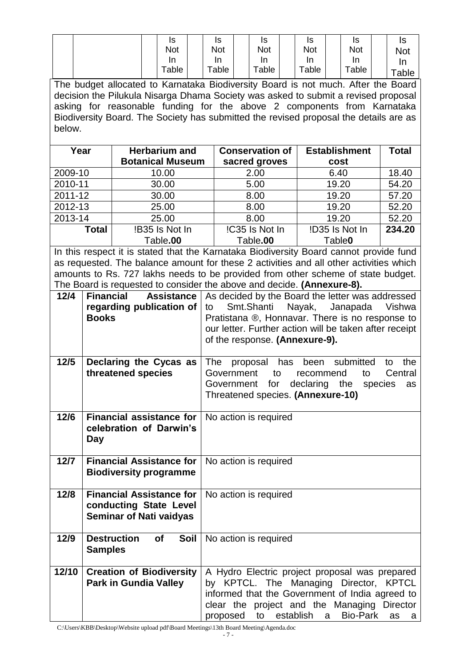|  | Is    | Is                 | Is         | Is    | Is    | IS          |
|--|-------|--------------------|------------|-------|-------|-------------|
|  | Not   | <b>Not</b>         | <b>Not</b> | Not   | Not   | <b>Not</b>  |
|  | In    | In                 | In         | In    | In    | ın          |
|  | Table | $\mathsf{Table}^-$ | Table      | Table | Table | $\tau$ able |

The budget allocated to Karnataka Biodiversity Board is not much. After the Board decision the Pilukula Nisarga Dhama Society was asked to submit a revised proposal asking for reasonable funding for the above 2 components from Karnataka Biodiversity Board. The Society has submitted the revised proposal the details are as below.

| Year         | <b>Herbarium and</b>    | <b>Conservation of</b> | <b>Establishment</b> | <b>Total</b> |
|--------------|-------------------------|------------------------|----------------------|--------------|
|              | <b>Botanical Museum</b> | sacred groves          | cost                 |              |
| 2009-10      | 10.00                   | 2.00                   | 6.40                 | 18.40        |
| 2010-11      | 30.00                   | 5.00                   | 19.20                | 54.20        |
| 2011-12      | 30.00                   | 8.00                   | 19.20                | 57.20        |
| 2012-13      | 25.00                   | 8.00                   | 19.20                | 52.20        |
| 2013-14      | 25.00                   | 8.00                   | 19.20                | 52.20        |
| <b>Total</b> | !B35 Is Not In          | !C35 Is Not In         | !D35 Is Not In       | 234.20       |
|              | Table.00                |                        | Table <sub>0</sub>   |              |

In this respect it is stated that the Karnataka Biodiversity Board cannot provide fund as requested. The balance amount for these 2 activities and all other activities which amounts to Rs. 727 lakhs needs to be provided from other scheme of state budget. The Board is requested to consider the above and decide. **(Annexure-8).**

| $12/4$ | <b>Financial</b><br><b>Assistance</b><br>regarding publication of<br><b>Books</b>           | As decided by the Board the letter was addressed<br>Nayak, Janapada<br>Smt.Shanti<br>Vishwa<br>to<br>Pratistana ®, Honnavar. There is no response to<br>our letter. Further action will be taken after receipt<br>of the response. (Annexure-9).                    |
|--------|---------------------------------------------------------------------------------------------|---------------------------------------------------------------------------------------------------------------------------------------------------------------------------------------------------------------------------------------------------------------------|
| $12/5$ | Declaring the Cycas as<br>threatened species                                                | The<br>the<br>has<br>been<br>submitted<br>proposal<br>to<br>Government<br>to<br>Central<br>recommend<br>to<br>for<br>declaring the<br>species<br>Government<br>as<br>Threatened species. (Annexure-10)                                                              |
| 12/6   | <b>Financial assistance for</b><br>celebration of Darwin's<br>Day                           | No action is required                                                                                                                                                                                                                                               |
| 12/7   | <b>Financial Assistance for</b><br><b>Biodiversity programme</b>                            | No action is required                                                                                                                                                                                                                                               |
| 12/8   | <b>Financial Assistance for</b><br>conducting State Level<br><b>Seminar of Nati vaidyas</b> | No action is required                                                                                                                                                                                                                                               |
| 12/9   | <b>Destruction</b><br>of<br>Soil<br><b>Samples</b>                                          | No action is required                                                                                                                                                                                                                                               |
| 12/10  | <b>Creation of Biodiversity</b><br><b>Park in Gundia Valley</b>                             | A Hydro Electric project proposal was prepared<br>by KPTCL. The Managing Director, KPTCL<br>informed that the Government of India agreed to<br>clear the project and the Managing Director<br>establish<br><b>Bio-Park</b><br>proposed<br>a<br>to<br><b>as</b><br>a |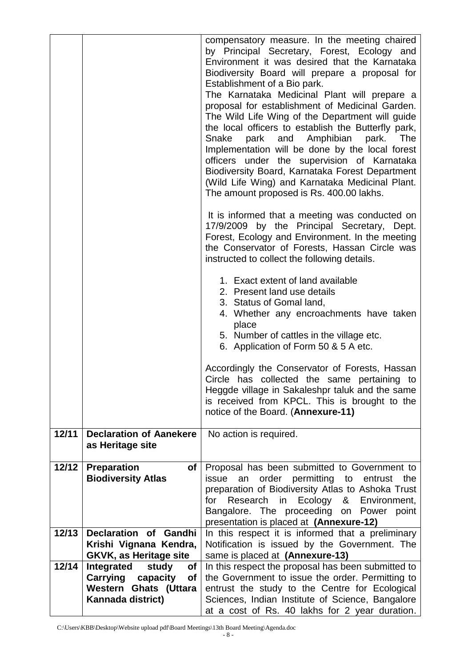|       |                                                         | compensatory measure. In the meeting chaired<br>by Principal Secretary, Forest, Ecology and<br>Environment it was desired that the Karnataka<br>Biodiversity Board will prepare a proposal for<br>Establishment of a Bio park.<br>The Karnataka Medicinal Plant will prepare a<br>proposal for establishment of Medicinal Garden.<br>The Wild Life Wing of the Department will guide<br>the local officers to establish the Butterfly park,<br>park and Amphibian park.<br>Snake<br>The<br>Implementation will be done by the local forest<br>officers under the supervision of Karnataka<br>Biodiversity Board, Karnataka Forest Department<br>(Wild Life Wing) and Karnataka Medicinal Plant.<br>The amount proposed is Rs. 400.00 lakhs.<br>It is informed that a meeting was conducted on<br>17/9/2009 by the Principal Secretary, Dept.<br>Forest, Ecology and Environment. In the meeting<br>the Conservator of Forests, Hassan Circle was<br>instructed to collect the following details.<br>1. Exact extent of land available<br>2. Present land use details<br>3. Status of Gomal land,<br>4. Whether any encroachments have taken<br>place<br>5. Number of cattles in the village etc.<br>6. Application of Form 50 & 5 A etc. |
|-------|---------------------------------------------------------|------------------------------------------------------------------------------------------------------------------------------------------------------------------------------------------------------------------------------------------------------------------------------------------------------------------------------------------------------------------------------------------------------------------------------------------------------------------------------------------------------------------------------------------------------------------------------------------------------------------------------------------------------------------------------------------------------------------------------------------------------------------------------------------------------------------------------------------------------------------------------------------------------------------------------------------------------------------------------------------------------------------------------------------------------------------------------------------------------------------------------------------------------------------------------------------------------------------------------------------|
|       |                                                         | Accordingly the Conservator of Forests, Hassan<br>Circle has collected the same pertaining to<br>Heggde village in Sakaleshpr taluk and the same<br>is received from KPCL. This is brought to the<br>notice of the Board. (Annexure-11)                                                                                                                                                                                                                                                                                                                                                                                                                                                                                                                                                                                                                                                                                                                                                                                                                                                                                                                                                                                                  |
| 12/11 | <b>Declaration of Aanekere</b><br>as Heritage site      | No action is required.                                                                                                                                                                                                                                                                                                                                                                                                                                                                                                                                                                                                                                                                                                                                                                                                                                                                                                                                                                                                                                                                                                                                                                                                                   |
| 12/12 | <b>Preparation</b><br>оf<br><b>Biodiversity Atlas</b>   | Proposal has been submitted to Government to<br>permitting to<br>issue<br>order<br>the<br>an<br>entrust                                                                                                                                                                                                                                                                                                                                                                                                                                                                                                                                                                                                                                                                                                                                                                                                                                                                                                                                                                                                                                                                                                                                  |
|       |                                                         | preparation of Biodiversity Atlas to Ashoka Trust<br>Ecology<br>Research in<br>&<br>Environment,<br>for<br>Bangalore. The proceeding<br>on Power<br>point                                                                                                                                                                                                                                                                                                                                                                                                                                                                                                                                                                                                                                                                                                                                                                                                                                                                                                                                                                                                                                                                                |
| 12/13 | Declaration of<br>Gandhi                                | presentation is placed at (Annexure-12)<br>In this respect it is informed that a preliminary                                                                                                                                                                                                                                                                                                                                                                                                                                                                                                                                                                                                                                                                                                                                                                                                                                                                                                                                                                                                                                                                                                                                             |
|       | Krishi Vignana Kendra,<br><b>GKVK, as Heritage site</b> | Notification is issued by the Government. The<br>same is placed at (Annexure-13)                                                                                                                                                                                                                                                                                                                                                                                                                                                                                                                                                                                                                                                                                                                                                                                                                                                                                                                                                                                                                                                                                                                                                         |
| 12/14 | Integrated<br>study<br><b>of</b>                        | In this respect the proposal has been submitted to                                                                                                                                                                                                                                                                                                                                                                                                                                                                                                                                                                                                                                                                                                                                                                                                                                                                                                                                                                                                                                                                                                                                                                                       |
|       | capacity<br>Carrying<br><b>of</b>                       | the Government to issue the order. Permitting to                                                                                                                                                                                                                                                                                                                                                                                                                                                                                                                                                                                                                                                                                                                                                                                                                                                                                                                                                                                                                                                                                                                                                                                         |
|       | <b>Western Ghats (Uttara</b>                            | entrust the study to the Centre for Ecological                                                                                                                                                                                                                                                                                                                                                                                                                                                                                                                                                                                                                                                                                                                                                                                                                                                                                                                                                                                                                                                                                                                                                                                           |
|       | Kannada district)                                       | Sciences, Indian Institute of Science, Bangalore<br>at a cost of Rs. 40 lakhs for 2 year duration.                                                                                                                                                                                                                                                                                                                                                                                                                                                                                                                                                                                                                                                                                                                                                                                                                                                                                                                                                                                                                                                                                                                                       |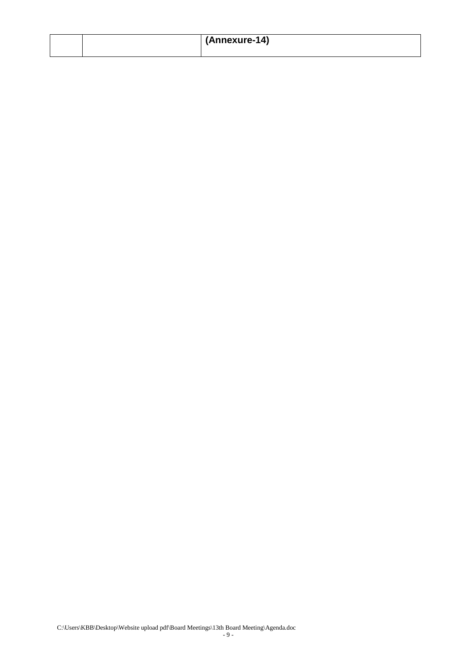|  | (Annexure-14) |
|--|---------------|
|  |               |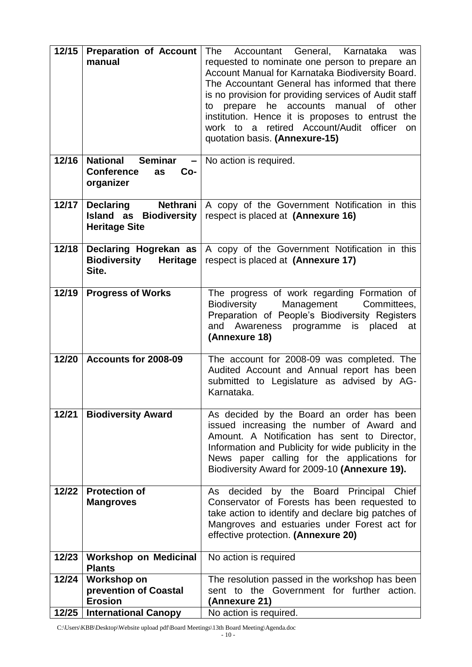| 12/15 | <b>Preparation of Account</b><br>manual                                                           | The<br>Accountant General, Karnataka<br>was<br>requested to nominate one person to prepare an<br>Account Manual for Karnataka Biodiversity Board.<br>The Accountant General has informed that there<br>is no provision for providing services of Audit staff<br>to prepare he accounts<br>manual<br>of other<br>institution. Hence it is proposes to entrust the<br>work to a retired Account/Audit officer<br><b>on</b><br>quotation basis. (Annexure-15) |
|-------|---------------------------------------------------------------------------------------------------|------------------------------------------------------------------------------------------------------------------------------------------------------------------------------------------------------------------------------------------------------------------------------------------------------------------------------------------------------------------------------------------------------------------------------------------------------------|
| 12/16 | <b>National Seminar</b> $-$ No action is required.<br><b>Conference</b><br>Co-<br>as<br>organizer |                                                                                                                                                                                                                                                                                                                                                                                                                                                            |
| 12/17 | <b>Declaring</b><br>Nethrani<br>Island as<br><b>Biodiversity</b><br><b>Heritage Site</b>          | A copy of the Government Notification in this<br>respect is placed at (Annexure 16)                                                                                                                                                                                                                                                                                                                                                                        |
| 12/18 | <b>Biodiversity</b><br>Heritage<br>Site.                                                          | <b>Declaring Hogrekan as</b> $ A \text{ copy of the Government Notification in this$<br>respect is placed at (Annexure 17)                                                                                                                                                                                                                                                                                                                                 |
| 12/19 | <b>Progress of Works</b>                                                                          | The progress of work regarding Formation of<br>Management<br>Biodiversity<br>Committees,<br>Preparation of People's Biodiversity Registers<br>and Awareness<br>programme<br>is placed<br>at<br>(Annexure 18)                                                                                                                                                                                                                                               |
| 12/20 | Accounts for 2008-09                                                                              | The account for 2008-09 was completed. The<br>Audited Account and Annual report has been<br>submitted to Legislature as advised by AG-<br>Karnataka.                                                                                                                                                                                                                                                                                                       |
| 12/21 | <b>Biodiversity Award</b>                                                                         | As decided by the Board an order has been<br>issued increasing the number of Award and<br>Amount. A Notification has sent to Director,<br>Information and Publicity for wide publicity in the<br>News paper calling for the applications for<br>Biodiversity Award for 2009-10 (Annexure 19).                                                                                                                                                              |
| 12/22 | <b>Protection of</b><br><b>Mangroves</b>                                                          | As decided by the Board Principal Chief<br>Conservator of Forests has been requested to<br>take action to identify and declare big patches of<br>Mangroves and estuaries under Forest act for<br>effective protection. (Annexure 20)                                                                                                                                                                                                                       |
| 12/23 | <b>Workshop on Medicinal</b><br><b>Plants</b>                                                     | No action is required                                                                                                                                                                                                                                                                                                                                                                                                                                      |
| 12/24 | <b>Workshop on</b>                                                                                | The resolution passed in the workshop has been                                                                                                                                                                                                                                                                                                                                                                                                             |
|       | prevention of Coastal<br><b>Erosion</b>                                                           | sent to the Government for further action.                                                                                                                                                                                                                                                                                                                                                                                                                 |
| 12/25 | <b>International Canopy</b>                                                                       | (Annexure 21)<br>No action is required.                                                                                                                                                                                                                                                                                                                                                                                                                    |
|       |                                                                                                   |                                                                                                                                                                                                                                                                                                                                                                                                                                                            |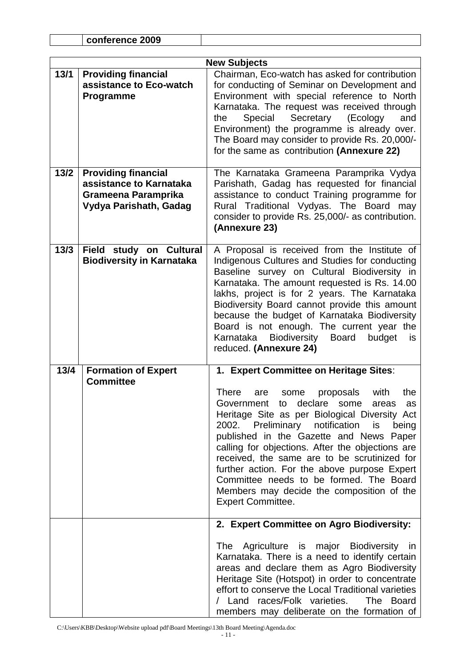|        | conference 2009                                                                                               |                                                                                                                                                                                                                                                                                                                                                                                                                                                                                                     |  |  |  |  |  |
|--------|---------------------------------------------------------------------------------------------------------------|-----------------------------------------------------------------------------------------------------------------------------------------------------------------------------------------------------------------------------------------------------------------------------------------------------------------------------------------------------------------------------------------------------------------------------------------------------------------------------------------------------|--|--|--|--|--|
|        |                                                                                                               |                                                                                                                                                                                                                                                                                                                                                                                                                                                                                                     |  |  |  |  |  |
|        | <b>New Subjects</b>                                                                                           |                                                                                                                                                                                                                                                                                                                                                                                                                                                                                                     |  |  |  |  |  |
| 13/1   | <b>Providing financial</b><br>assistance to Eco-watch<br>Programme                                            | Chairman, Eco-watch has asked for contribution<br>for conducting of Seminar on Development and<br>Environment with special reference to North<br>Karnataka. The request was received through<br>Special Secretary<br>and<br>(Ecology<br>the<br>Environment) the programme is already over.<br>The Board may consider to provide Rs. 20,000/-<br>for the same as contribution (Annexure 22)                                                                                                          |  |  |  |  |  |
| $13/2$ | <b>Providing financial</b><br>assistance to Karnataka<br><b>Grameena Paramprika</b><br>Vydya Parishath, Gadag | The Karnataka Grameena Paramprika Vydya<br>Parishath, Gadag has requested for financial<br>assistance to conduct Training programme for<br>Rural Traditional Vydyas. The Board may<br>consider to provide Rs. 25,000/- as contribution.<br>(Annexure 23)                                                                                                                                                                                                                                            |  |  |  |  |  |
| $13/3$ | Field study on Cultural<br><b>Biodiversity in Karnataka</b>                                                   | A Proposal is received from the Institute of<br>Indigenous Cultures and Studies for conducting<br>Baseline survey on Cultural Biodiversity in<br>Karnataka. The amount requested is Rs. 14.00<br>lakhs, project is for 2 years. The Karnataka<br>Biodiversity Board cannot provide this amount<br>because the budget of Karnataka Biodiversity<br>Board is not enough. The current year the<br>Karnataka Biodiversity Board<br>budget<br>is.<br>reduced. (Annexure 24)                              |  |  |  |  |  |
| 13/4   | <b>Formation of Expert</b><br><b>Committee</b>                                                                | 1. Expert Committee on Heritage Sites:                                                                                                                                                                                                                                                                                                                                                                                                                                                              |  |  |  |  |  |
|        |                                                                                                               | There are some proposals with<br>the<br>Government to declare some<br>areas<br>as<br>Heritage Site as per Biological Diversity Act<br>2002. Preliminary notification is<br>being<br>published in the Gazette and News Paper<br>calling for objections. After the objections are<br>received, the same are to be scrutinized for<br>further action. For the above purpose Expert<br>Committee needs to be formed. The Board<br>Members may decide the composition of the<br><b>Expert Committee.</b> |  |  |  |  |  |
|        |                                                                                                               | 2. Expert Committee on Agro Biodiversity:                                                                                                                                                                                                                                                                                                                                                                                                                                                           |  |  |  |  |  |
|        |                                                                                                               | The Agriculture is major Biodiversity in<br>Karnataka. There is a need to identify certain<br>areas and declare them as Agro Biodiversity<br>Heritage Site (Hotspot) in order to concentrate<br>effort to conserve the Local Traditional varieties<br>/ Land races/Folk varieties. The Board<br>members may deliberate on the formation of                                                                                                                                                          |  |  |  |  |  |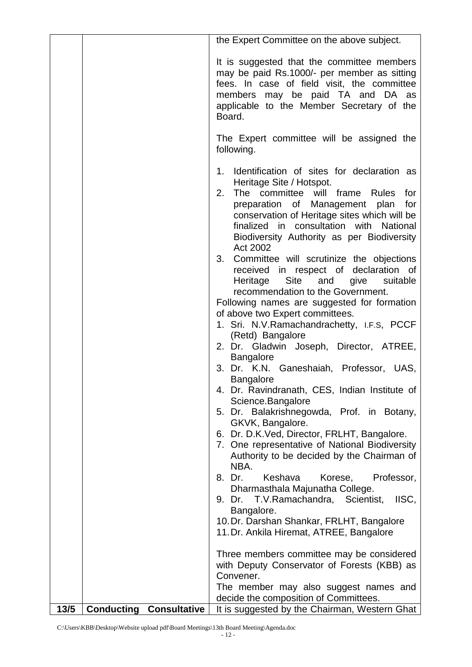|      |                                          | the Expert Committee on the above subject.                                                                                                                                                                                                                                                                                |
|------|------------------------------------------|---------------------------------------------------------------------------------------------------------------------------------------------------------------------------------------------------------------------------------------------------------------------------------------------------------------------------|
|      |                                          | It is suggested that the committee members<br>may be paid Rs.1000/- per member as sitting<br>fees. In case of field visit, the committee<br>members may be paid TA and DA as<br>applicable to the Member Secretary of the<br>Board.                                                                                       |
|      |                                          | The Expert committee will be assigned the<br>following.                                                                                                                                                                                                                                                                   |
|      |                                          | Identification of sites for declaration as<br>1.<br>Heritage Site / Hotspot.<br>2.<br>The committee will frame Rules<br>for<br>preparation of Management plan<br>for<br>conservation of Heritage sites which will be<br>finalized in consultation with National<br>Biodiversity Authority as per Biodiversity<br>Act 2002 |
|      |                                          | 3.<br>Committee will scrutinize the objections<br>received in respect of declaration of<br>Heritage<br>Site<br>and<br>suitable<br>give<br>recommendation to the Government.<br>Following names are suggested for formation<br>of above two Expert committees.<br>1. Sri. N.V. Ramachandrachetty, I.F.S, PCCF              |
|      |                                          | (Retd) Bangalore<br>2. Dr. Gladwin Joseph, Director, ATREE,<br><b>Bangalore</b>                                                                                                                                                                                                                                           |
|      |                                          | 3. Dr. K.N. Ganeshaiah, Professor, UAS,<br><b>Bangalore</b>                                                                                                                                                                                                                                                               |
|      |                                          | 4. Dr. Ravindranath, CES, Indian Institute of<br>Science.Bangalore                                                                                                                                                                                                                                                        |
|      |                                          | 5. Dr. Balakrishnegowda, Prof. in Botany,<br>GKVK, Bangalore.<br>6. Dr. D.K. Ved, Director, FRLHT, Bangalore.<br>7. One representative of National Biodiversity<br>Authority to be decided by the Chairman of                                                                                                             |
|      |                                          | NBA.<br>8. Dr.<br>Keshava<br>Korese,<br>Professor,                                                                                                                                                                                                                                                                        |
|      |                                          | Dharmasthala Majunatha College.<br>9. Dr. T.V. Ramachandra, Scientist,<br>IISC,<br>Bangalore.                                                                                                                                                                                                                             |
|      |                                          | 10. Dr. Darshan Shankar, FRLHT, Bangalore<br>11. Dr. Ankila Hiremat, ATREE, Bangalore                                                                                                                                                                                                                                     |
|      |                                          | Three members committee may be considered<br>with Deputy Conservator of Forests (KBB) as<br>Convener.                                                                                                                                                                                                                     |
|      |                                          | The member may also suggest names and<br>decide the composition of Committees.                                                                                                                                                                                                                                            |
| 13/5 | <b>Consultative</b><br><b>Conducting</b> | It is suggested by the Chairman, Western Ghat                                                                                                                                                                                                                                                                             |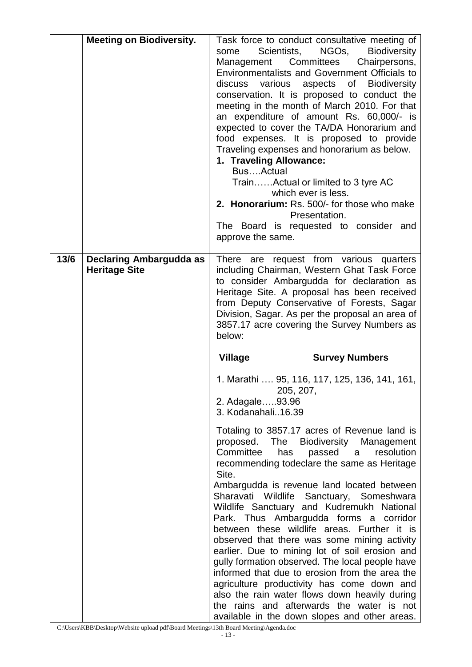|      | <b>Meeting on Biodiversity.</b>                        | Task force to conduct consultative meeting of<br>Scientists,<br>NGOs,<br><b>Biodiversity</b><br>some<br>Management Committees<br>Chairpersons,<br><b>Environmentalists and Government Officials to</b><br>discuss various aspects of Biodiversity<br>conservation. It is proposed to conduct the<br>meeting in the month of March 2010. For that<br>an expenditure of amount Rs. 60,000/- is<br>expected to cover the TA/DA Honorarium and<br>food expenses. It is proposed to provide<br>Traveling expenses and honorarium as below.<br>1. Traveling Allowance:<br>BusActual<br>TrainActual or limited to 3 tyre AC<br>which ever is less.<br>2. Honorarium: Rs. 500/- for those who make<br>Presentation.<br>The Board is requested to consider and<br>approve the same.                                                                                                                                                                            |
|------|--------------------------------------------------------|-------------------------------------------------------------------------------------------------------------------------------------------------------------------------------------------------------------------------------------------------------------------------------------------------------------------------------------------------------------------------------------------------------------------------------------------------------------------------------------------------------------------------------------------------------------------------------------------------------------------------------------------------------------------------------------------------------------------------------------------------------------------------------------------------------------------------------------------------------------------------------------------------------------------------------------------------------|
| 13/6 | <b>Declaring Ambargudda as</b><br><b>Heritage Site</b> | There are request from various quarters<br>including Chairman, Western Ghat Task Force<br>to consider Ambargudda for declaration as<br>Heritage Site. A proposal has been received<br>from Deputy Conservative of Forests, Sagar<br>Division, Sagar. As per the proposal an area of<br>3857.17 acre covering the Survey Numbers as<br>below:                                                                                                                                                                                                                                                                                                                                                                                                                                                                                                                                                                                                          |
|      |                                                        | <b>Village</b><br><b>Survey Numbers</b>                                                                                                                                                                                                                                                                                                                                                                                                                                                                                                                                                                                                                                                                                                                                                                                                                                                                                                               |
|      |                                                        | 1. Marathi  95, 116, 117, 125, 136, 141, 161,<br>205, 207,<br>2. Adagale93.96<br>3. Kodanahali16.39<br>Totaling to 3857.17 acres of Revenue land is<br>proposed.<br>The<br>Biodiversity Management<br>Committee<br>passed<br>resolution<br>has<br>a<br>recommending todeclare the same as Heritage<br>Site.<br>Ambargudda is revenue land located between<br>Sharavati<br>Wildlife<br>Sanctuary, Someshwara<br>Wildlife Sanctuary and Kudremukh National<br>Park. Thus Ambargudda forms a corridor<br>between these wildlife areas. Further it is<br>observed that there was some mining activity<br>earlier. Due to mining lot of soil erosion and<br>gully formation observed. The local people have<br>informed that due to erosion from the area the<br>agriculture productivity has come down and<br>also the rain water flows down heavily during<br>the rains and afterwards the water is not<br>available in the down slopes and other areas. |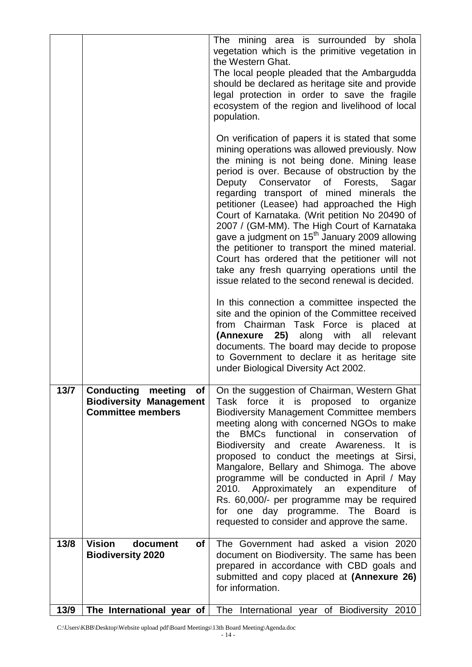|      |                                                                                                      | The mining area is surrounded by shola<br>vegetation which is the primitive vegetation in<br>the Western Ghat.<br>The local people pleaded that the Ambargudda<br>should be declared as heritage site and provide<br>legal protection in order to save the fragile<br>ecosystem of the region and livelihood of local<br>population.<br>On verification of papers it is stated that some<br>mining operations was allowed previously. Now                                                                                                                                                                     |
|------|------------------------------------------------------------------------------------------------------|---------------------------------------------------------------------------------------------------------------------------------------------------------------------------------------------------------------------------------------------------------------------------------------------------------------------------------------------------------------------------------------------------------------------------------------------------------------------------------------------------------------------------------------------------------------------------------------------------------------|
|      |                                                                                                      | the mining is not being done. Mining lease<br>period is over. Because of obstruction by the<br>Deputy Conservator of Forests, Sagar<br>regarding transport of mined minerals the<br>petitioner (Leasee) had approached the High<br>Court of Karnataka. (Writ petition No 20490 of<br>2007 / (GM-MM). The High Court of Karnataka<br>gave a judgment on 15 <sup>th</sup> January 2009 allowing<br>the petitioner to transport the mined material.<br>Court has ordered that the petitioner will not<br>take any fresh quarrying operations until the<br>issue related to the second renewal is decided.        |
|      |                                                                                                      | In this connection a committee inspected the<br>site and the opinion of the Committee received<br>from Chairman Task Force is placed at<br>(Annexure 25) along with all relevant<br>documents. The board may decide to propose<br>to Government to declare it as heritage site<br>under Biological Diversity Act 2002.                                                                                                                                                                                                                                                                                        |
| 13/7 | <b>Conducting meeting</b><br><b>ot</b><br><b>Biodiversity Management</b><br><b>Committee members</b> | On the suggestion of Chairman, Western Ghat<br>it is proposed to organize<br>Task<br>force<br><b>Biodiversity Management Committee members</b><br>meeting along with concerned NGOs to make<br>the BMCs functional in conservation<br>0f<br>Biodiversity and create Awareness. It is<br>proposed to conduct the meetings at Sirsi,<br>Mangalore, Bellary and Shimoga. The above<br>programme will be conducted in April / May<br>2010. Approximately an expenditure<br>of<br>Rs. 60,000/- per programme may be required<br>for one day programme. The Board is<br>requested to consider and approve the same. |
| 13/8 | <b>Vision</b><br>document<br>of<br><b>Biodiversity 2020</b>                                          | The Government had asked a vision 2020<br>document on Biodiversity. The same has been<br>prepared in accordance with CBD goals and<br>submitted and copy placed at (Annexure 26)<br>for information.                                                                                                                                                                                                                                                                                                                                                                                                          |
| 13/9 |                                                                                                      | The International year of The International year of Biodiversity 2010                                                                                                                                                                                                                                                                                                                                                                                                                                                                                                                                         |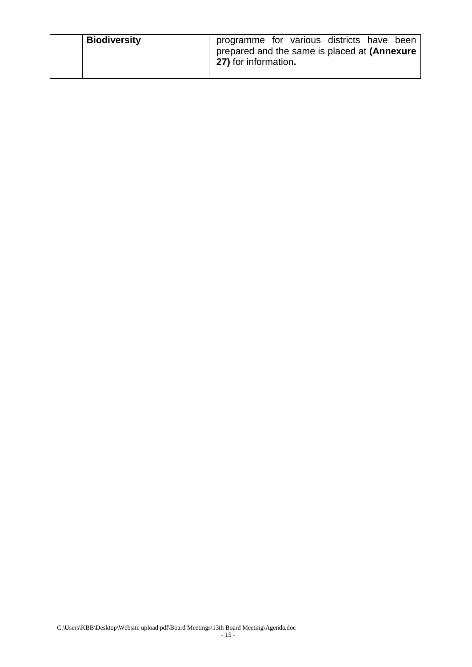| <b>Biodiversity</b> | programme for various districts have been                            |  |  |  |
|---------------------|----------------------------------------------------------------------|--|--|--|
|                     | prepared and the same is placed at (Annexure<br>27) for information. |  |  |  |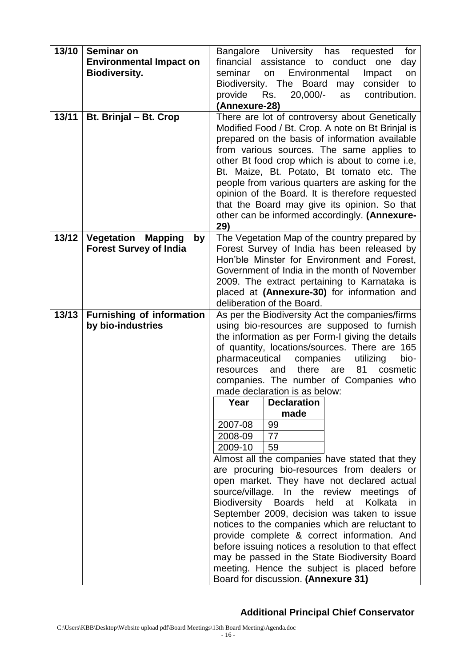| 13/10 | <b>Seminar on</b><br><b>Environmental Impact on</b><br><b>Biodiversity.</b> | Bangalore University has<br>for<br>requested<br>financial assistance to<br>conduct<br>one<br>day<br>seminar<br>Environmental<br>Impact<br>on<br>on<br>Biodiversity. The Board<br>consider to<br>may<br>provide<br>Rs.<br>$20,000/-$<br>contribution.<br>as<br>(Annexure-28)                                                                                                                                                                                                                                                                                                                                                                           |
|-------|-----------------------------------------------------------------------------|-------------------------------------------------------------------------------------------------------------------------------------------------------------------------------------------------------------------------------------------------------------------------------------------------------------------------------------------------------------------------------------------------------------------------------------------------------------------------------------------------------------------------------------------------------------------------------------------------------------------------------------------------------|
| 13/11 | Bt. Brinjal - Bt. Crop                                                      | There are lot of controversy about Genetically<br>Modified Food / Bt. Crop. A note on Bt Brinjal is<br>prepared on the basis of information available<br>from various sources. The same applies to<br>other Bt food crop which is about to come i.e,<br>Bt. Maize, Bt. Potato, Bt tomato etc. The<br>people from various quarters are asking for the<br>opinion of the Board. It is therefore requested<br>that the Board may give its opinion. So that<br>other can be informed accordingly. (Annexure-<br>29)                                                                                                                                       |
| 13/12 | Vegetation<br><b>Mapping</b><br>by<br><b>Forest Survey of India</b>         | The Vegetation Map of the country prepared by<br>Forest Survey of India has been released by<br>Hon'ble Minster for Environment and Forest,<br>Government of India in the month of November<br>2009. The extract pertaining to Karnataka is<br>placed at (Annexure-30) for information and<br>deliberation of the Board.                                                                                                                                                                                                                                                                                                                              |
| 13/13 | <b>Furnishing of information</b><br>by bio-industries                       | As per the Biodiversity Act the companies/firms<br>using bio-resources are supposed to furnish<br>the information as per Form-I giving the details<br>of quantity, locations/sources. There are 165<br>pharmaceutical<br>companies<br>utilizing<br>bio-<br>there<br>81<br>and<br>are<br>cosmetic<br>resources<br>companies. The number of Companies who<br>made declaration is as below:<br><b>Declaration</b><br>Year                                                                                                                                                                                                                                |
|       |                                                                             | made<br>2007-08<br>99<br>2008-09<br>77<br>2009-10<br>59<br>Almost all the companies have stated that they<br>are procuring bio-resources from dealers or<br>open market. They have not declared actual<br>source/village. In the review meetings<br>Οf<br>Biodiversity Boards held at<br>Kolkata<br>in.<br>September 2009, decision was taken to issue<br>notices to the companies which are reluctant to<br>provide complete & correct information. And<br>before issuing notices a resolution to that effect<br>may be passed in the State Biodiversity Board<br>meeting. Hence the subject is placed before<br>Board for discussion. (Annexure 31) |

### **Additional Principal Chief Conservator**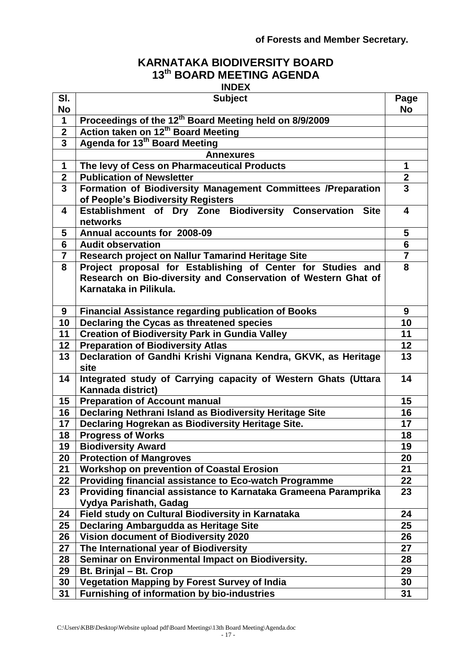#### **of Forests and Member Secretary.**

## **KARNATAKA BIODIVERSITY BOARD th BOARD MEETING AGENDA**

|                  | <b>INDEX</b>                                                                                                                                           |                         |
|------------------|--------------------------------------------------------------------------------------------------------------------------------------------------------|-------------------------|
| SI.<br><b>No</b> | <b>Subject</b>                                                                                                                                         | Page<br><b>No</b>       |
| 1                | Proceedings of the 12 <sup>th</sup> Board Meeting held on 8/9/2009                                                                                     |                         |
| $\boldsymbol{2}$ | Action taken on 12 <sup>th</sup> Board Meeting                                                                                                         |                         |
| 3                | Agenda for 13 <sup>th</sup> Board Meeting                                                                                                              |                         |
|                  | <b>Annexures</b>                                                                                                                                       |                         |
| 1                | The levy of Cess on Pharmaceutical Products                                                                                                            | 1                       |
| $\overline{2}$   | <b>Publication of Newsletter</b>                                                                                                                       | $\overline{2}$          |
| $\overline{3}$   | Formation of Biodiversity Management Committees /Preparation<br>of People's Biodiversity Registers                                                     | $\overline{\mathbf{3}}$ |
| 4                | Establishment of Dry Zone Biodiversity Conservation Site<br>networks                                                                                   | 4                       |
| 5                | Annual accounts for 2008-09                                                                                                                            | 5                       |
| $6\phantom{1}$   | <b>Audit observation</b>                                                                                                                               | $6\phantom{1}6$         |
| $\overline{7}$   | Research project on Nallur Tamarind Heritage Site                                                                                                      | $\overline{7}$          |
| 8                | Project proposal for Establishing of Center for Studies and<br>Research on Bio-diversity and Conservation of Western Ghat of<br>Karnataka in Pilikula. | 8                       |
| 9                | <b>Financial Assistance regarding publication of Books</b>                                                                                             | 9                       |
| 10               | Declaring the Cycas as threatened species                                                                                                              | 10                      |
| 11               | <b>Creation of Biodiversity Park in Gundia Valley</b>                                                                                                  | 11                      |
| 12               | <b>Preparation of Biodiversity Atlas</b>                                                                                                               | 12                      |
| 13               | Declaration of Gandhi Krishi Vignana Kendra, GKVK, as Heritage<br>site                                                                                 | 13                      |
| 14               | Integrated study of Carrying capacity of Western Ghats (Uttara<br>Kannada district)                                                                    | 14                      |
| 15               | <b>Preparation of Account manual</b>                                                                                                                   | 15                      |
| 16               | Declaring Nethrani Island as Biodiversity Heritage Site                                                                                                | 16                      |
| 17               | Declaring Hogrekan as Biodiversity Heritage Site.                                                                                                      | 17                      |
| 18               | <b>Progress of Works</b>                                                                                                                               | 18                      |
| 19               | <b>Biodiversity Award</b>                                                                                                                              | 19                      |
| 20               | <b>Protection of Mangroves</b>                                                                                                                         | 20                      |
| 21               | <b>Workshop on prevention of Coastal Erosion</b>                                                                                                       | 21                      |
| 22               | <b>Providing financial assistance to Eco-watch Programme</b>                                                                                           | 22                      |
| 23               | Providing financial assistance to Karnataka Grameena Paramprika<br>Vydya Parishath, Gadag                                                              | 23                      |
| 24               | Field study on Cultural Biodiversity in Karnataka                                                                                                      | 24                      |
| 25               | <b>Declaring Ambargudda as Heritage Site</b>                                                                                                           | 25                      |
| 26               | Vision document of Biodiversity 2020                                                                                                                   | 26                      |
| 27               | The International year of Biodiversity                                                                                                                 | 27                      |
| 28               | Seminar on Environmental Impact on Biodiversity.                                                                                                       | 28                      |
| 29               | Bt. Brinjal - Bt. Crop                                                                                                                                 | 29                      |
| 30               | Vegetation Mapping by Forest Survey of India                                                                                                           | 30                      |
| 31               | <b>Furnishing of information by bio-industries</b>                                                                                                     | 31                      |